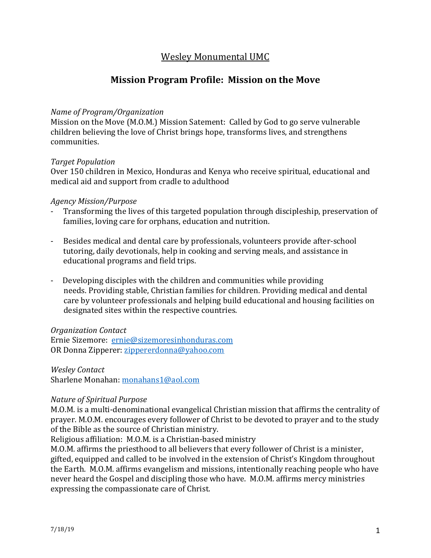# Wesley Monumental UMC

## **Mission Program Profile: Mission on the Move**

### *Name of Program/Organization*

Mission on the Move (M.O.M.) Mission Satement: Called by God to go serve vulnerable children believing the love of Christ brings hope, transforms lives, and strengthens communities.

#### *Target Population*

Over 150 children in Mexico, Honduras and Kenya who receive spiritual, educational and medical aid and support from cradle to adulthood

#### *Agency Mission/Purpose*

- Transforming the lives of this targeted population through discipleship, preservation of families, loving care for orphans, education and nutrition.
- Besides medical and dental care by professionals, volunteers provide after-school tutoring, daily devotionals, help in cooking and serving meals, and assistance in educational programs and field trips.
- Developing disciples with the children and communities while providing needs. Providing stable, Christian families for children. Providing medical and dental care by volunteer professionals and helping build educational and housing facilities on designated sites within the respective countries.

#### *Organization Contact*

Ernie Sizemore: [ernie@sizemoresinhonduras.com](mailto:ernie@sizemoresinhonduras.com) OR Donna Zipperer[: zippererdonna@yahoo.com](mailto:zippererdonna@yahoo.com)

*Wesley Contact* Sharlene Monahan: [monahans1@aol.com](mailto:monahans1@aol.com)

#### *Nature of Spiritual Purpose*

M.O.M. is a multi-denominational evangelical Christian mission that affirms the centrality of prayer. M.O.M. encourages every follower of Christ to be devoted to prayer and to the study of the Bible as the source of Christian ministry.

Religious affiliation: M.O.M. is a Christian-based ministry

M.O.M. affirms the priesthood to all believers that every follower of Christ is a minister, gifted, equipped and called to be involved in the extension of Christ's Kingdom throughout the Earth. M.O.M. affirms evangelism and missions, intentionally reaching people who have never heard the Gospel and discipling those who have. M.O.M. affirms mercy ministries expressing the compassionate care of Christ.